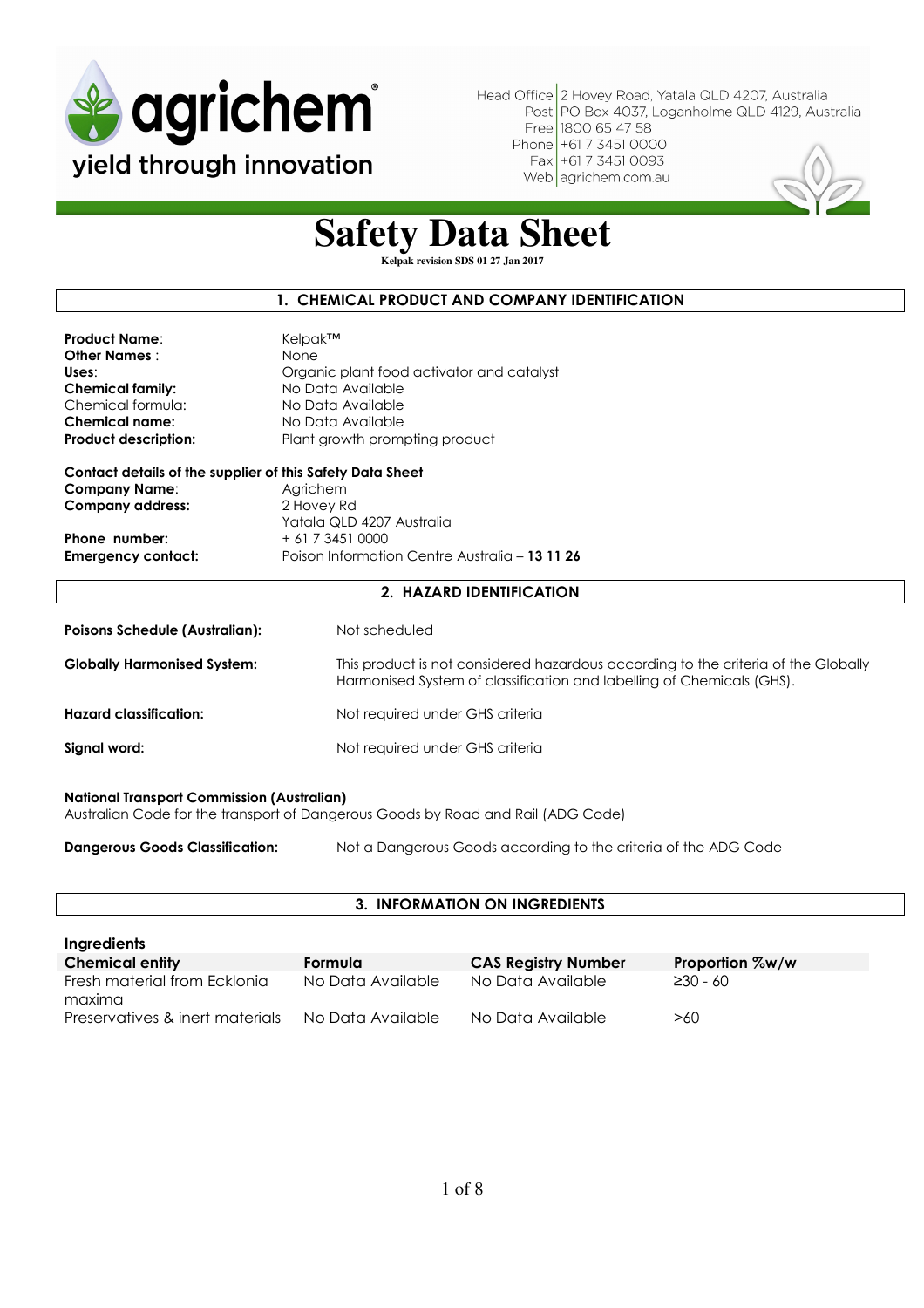

**Safety Data Sheet** 

**Kelpak revision SDS 01 27 Jan 2017** 

#### **1. CHEMICAL PRODUCT AND COMPANY IDENTIFICATION**

| <b>Product Name:</b>        | Kelpak™                                   |
|-----------------------------|-------------------------------------------|
| <b>Other Names :</b>        | None                                      |
| Uses:                       | Organic plant food activator and catalyst |
| <b>Chemical family:</b>     | No Data Available                         |
| Chemical formula:           | No Data Available                         |
| <b>Chemical name:</b>       | No Data Available                         |
| <b>Product description:</b> | Plant growth prompting product            |
|                             |                                           |

**Contact details of the supplier of this Safety Data Sheet Company Name:** Agrichem **Company address:** 2 Hovey Rd Yatala QLD 4207 Australia **Phone number:**  $+61734510000$ **Emergency contact:** Poison Information Centre Australia – **13 11 26**

#### **2. HAZARD IDENTIFICATION**

| <b>Poisons Schedule (Australian):</b> | Not scheduled                                                                                                                                               |
|---------------------------------------|-------------------------------------------------------------------------------------------------------------------------------------------------------------|
| <b>Globally Harmonised System:</b>    | This product is not considered hazardous according to the criteria of the Globally<br>Harmonised System of classification and labelling of Chemicals (GHS). |
| <b>Hazard classification:</b>         | Not required under GHS criteria                                                                                                                             |
| Signal word:                          | Not required under GHS criteria                                                                                                                             |
|                                       |                                                                                                                                                             |

#### **National Transport Commission (Australian)**

Australian Code for the transport of Dangerous Goods by Road and Rail (ADG Code)

**Dangerous Goods Classification:** Not a Dangerous Goods according to the criteria of the ADG Code

#### **3. INFORMATION ON INGREDIENTS**

| Ingredients                            |                   |                            |                 |
|----------------------------------------|-------------------|----------------------------|-----------------|
| <b>Chemical entity</b>                 | Formula           | <b>CAS Registry Number</b> | Proportion %w/w |
| Fresh material from Ecklonia<br>maxima | No Data Available | No Data Available          | $\geq 30 - 60$  |
| Preservatives & inert materials        | No Data Available | No Data Available          | >60             |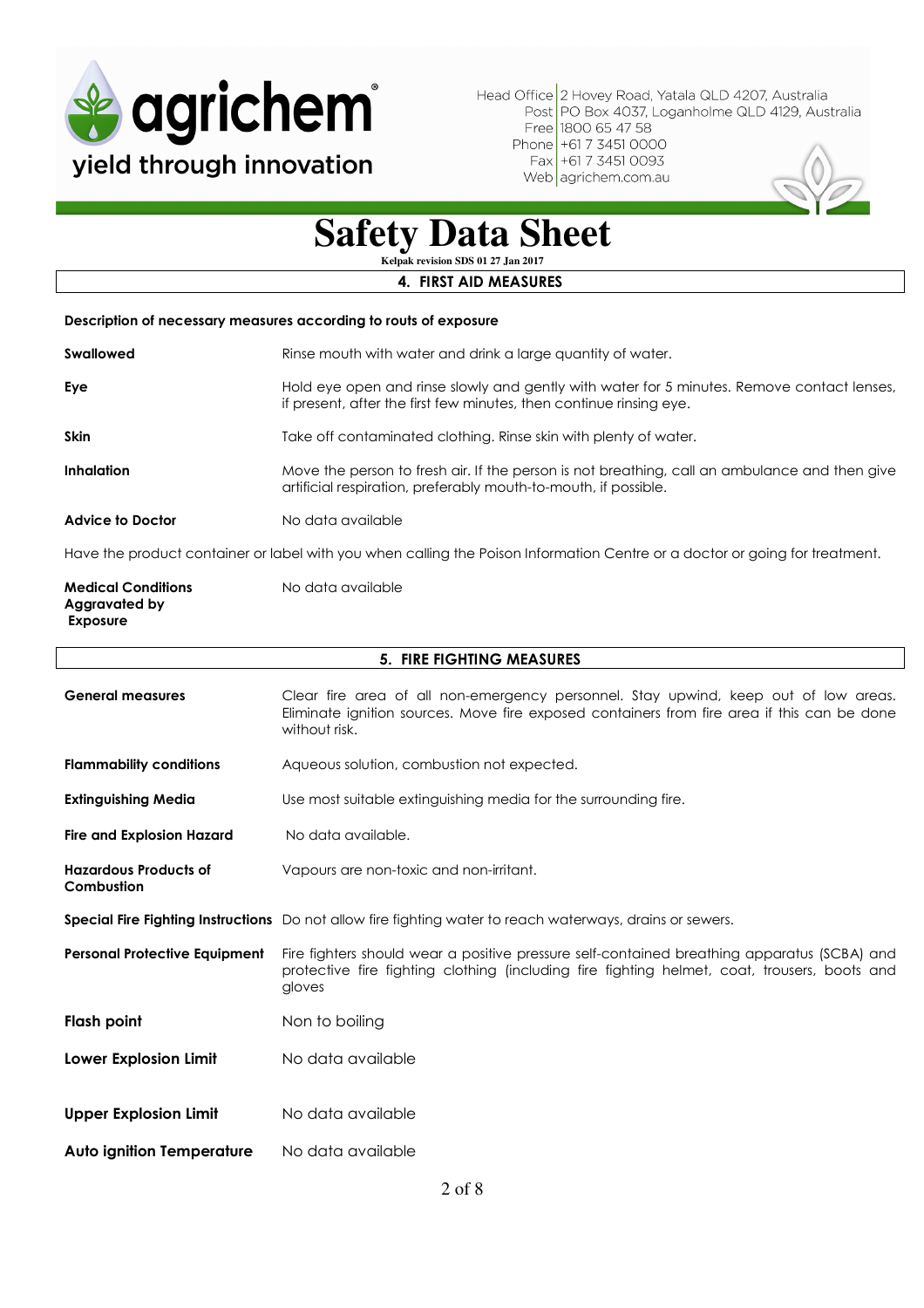

Web agrichem.com.au



## **Safety Data Sheet**

**Kelpak revision SDS 01 27 Jan 2017** 

#### **4. FIRST AID MEASURES**

#### **Description of necessary measures according to routs of exposure**

| <b>Swallowed</b>        | Rinse mouth with water and drink a large quantity of water.                                                                                                       |
|-------------------------|-------------------------------------------------------------------------------------------------------------------------------------------------------------------|
| Eye                     | Hold eye open and rinse slowly and gently with water for 5 minutes. Remove contact lenses,<br>if present, after the first few minutes, then continue rinsing eye. |
| <b>Skin</b>             | Take off contaminated clothing. Rinse skin with plenty of water.                                                                                                  |
| <b>Inhalation</b>       | Move the person to fresh air. If the person is not breathing, call an ambulance and then give<br>artificial respiration, preferably mouth-to-mouth, if possible.  |
| <b>Advice to Doctor</b> | No data available                                                                                                                                                 |
|                         |                                                                                                                                                                   |

Have the product container or label with you when calling the Poison Information Centre or a doctor or going for treatment.

| <b>Medical Conditions</b> | No data available |
|---------------------------|-------------------|
| Aggravated by             |                   |
| Exposure                  |                   |

| <b>5. FIRE FIGHTING MEASURES</b>           |                                                                                                                                                                                                       |  |  |
|--------------------------------------------|-------------------------------------------------------------------------------------------------------------------------------------------------------------------------------------------------------|--|--|
| <b>General measures</b>                    | Clear fire area of all non-emergency personnel. Stay upwind, keep out of low areas.<br>Eliminate ignition sources. Move fire exposed containers from fire area if this can be done<br>without risk.   |  |  |
| <b>Flammability conditions</b>             | Aqueous solution, combustion not expected.                                                                                                                                                            |  |  |
| <b>Extinguishing Media</b>                 | Use most suitable extinguishing media for the surrounding fire.                                                                                                                                       |  |  |
| Fire and Explosion Hazard                  | No data available.                                                                                                                                                                                    |  |  |
| <b>Hazardous Products of</b><br>Combustion | Vapours are non-toxic and non-irritant.                                                                                                                                                               |  |  |
|                                            | <b>Special Fire Fighting Instructions</b> Do not allow fire fighting water to reach waterways, drains or sewers.                                                                                      |  |  |
| <b>Personal Protective Equipment</b>       | Fire fighters should wear a positive pressure self-contained breathing apparatus (SCBA) and<br>protective fire fighting clothing (including fire fighting helmet, coat, trousers, boots and<br>gloves |  |  |
| <b>Flash point</b>                         | Non to boiling                                                                                                                                                                                        |  |  |
| Lower Explosion Limit                      | No data available                                                                                                                                                                                     |  |  |
|                                            |                                                                                                                                                                                                       |  |  |
| <b>Upper Explosion Limit</b>               | No data available                                                                                                                                                                                     |  |  |
| <b>Auto ignition Temperature</b>           | No data available                                                                                                                                                                                     |  |  |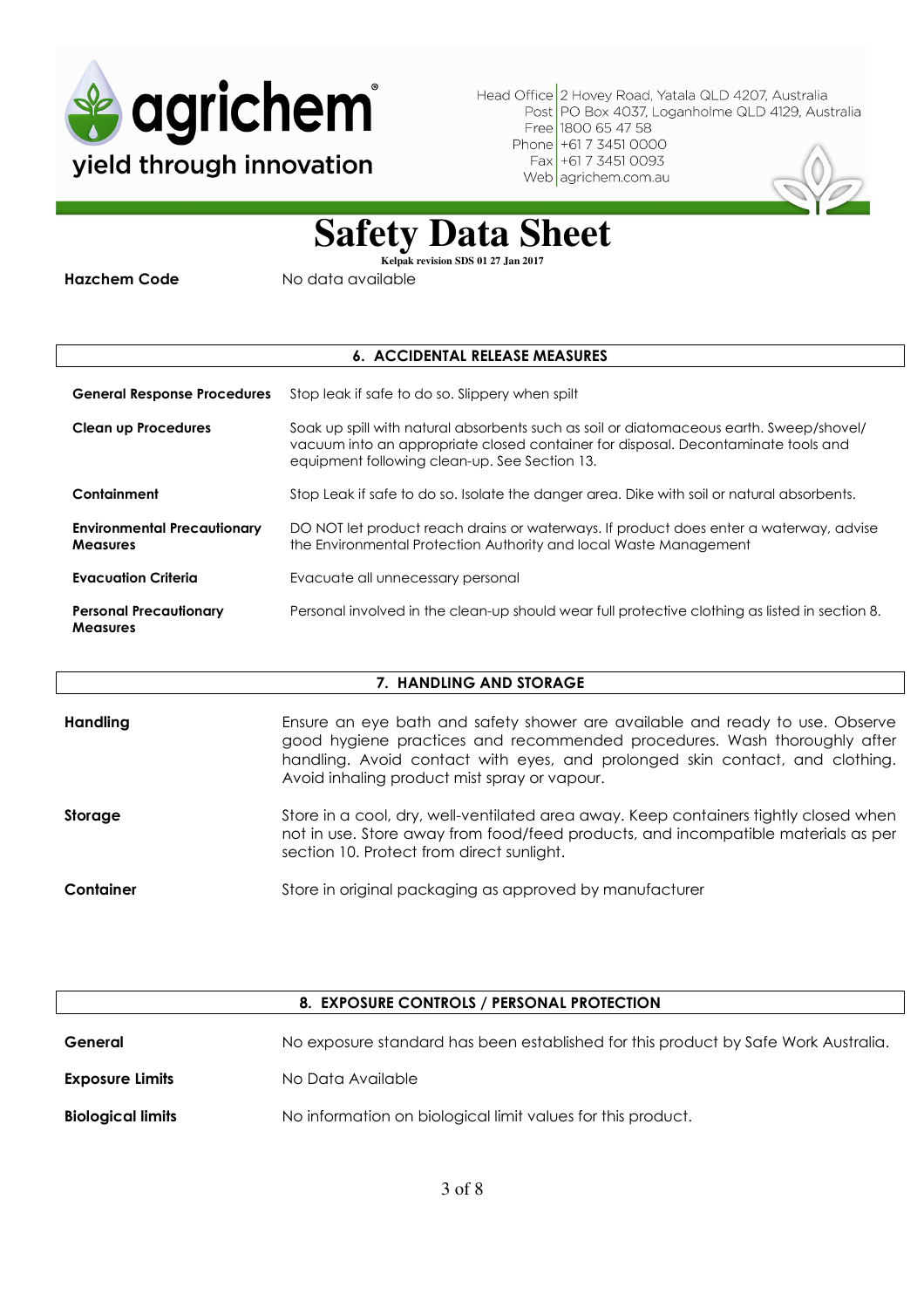

Web agrichem.com.au



### **Safety Data Sheet**

**Kelpak revision SDS 01 27 Jan 2017** 

**Hazchem Code** No data available

#### **6. ACCIDENTAL RELEASE MEASURES**

**General Response Procedures** Stop leak if safe to do so. Slippery when spilt **Clean up Procedures** Soak up spill with natural absorbents such as soil or diatomaceous earth. Sweep/shovel/ vacuum into an appropriate closed container for disposal. Decontaminate tools and equipment following clean-up. See Section 13. **Containment** Stop Leak if safe to do so. Isolate the danger area. Dike with soil or natural absorbents. **Environmental Precautionary Measures**  DO NOT let product reach drains or waterways. If product does enter a waterway, advise the Environmental Protection Authority and local Waste Management **Evacuation Criteria Evacuate all unnecessary personal Personal Precautionary Measures**  Personal involved in the clean-up should wear full protective clothing as listed in section 8.

#### **7. HANDLING AND STORAGE**

| Handling  | Ensure an eye bath and safety shower are available and ready to use. Observe<br>good hygiene practices and recommended procedures. Wash thoroughly after<br>handling. Avoid contact with eyes, and prolonged skin contact, and clothing.<br>Avoid inhaling product mist spray or vapour. |
|-----------|------------------------------------------------------------------------------------------------------------------------------------------------------------------------------------------------------------------------------------------------------------------------------------------|
| Storage   | Store in a cool, dry, well-ventilated area away. Keep containers tightly closed when<br>not in use. Store away from food/feed products, and incompatible materials as per<br>section 10. Protect from direct sunlight.                                                                   |
| Container | Store in original packaging as approved by manufacturer                                                                                                                                                                                                                                  |

| 8. EXPOSURE CONTROLS / PERSONAL PROTECTION |                                                                                    |  |
|--------------------------------------------|------------------------------------------------------------------------------------|--|
| General                                    | No exposure standard has been established for this product by Safe Work Australia. |  |
| <b>Exposure Limits</b>                     | No Data Available                                                                  |  |
| <b>Biological limits</b>                   | No information on biological limit values for this product.                        |  |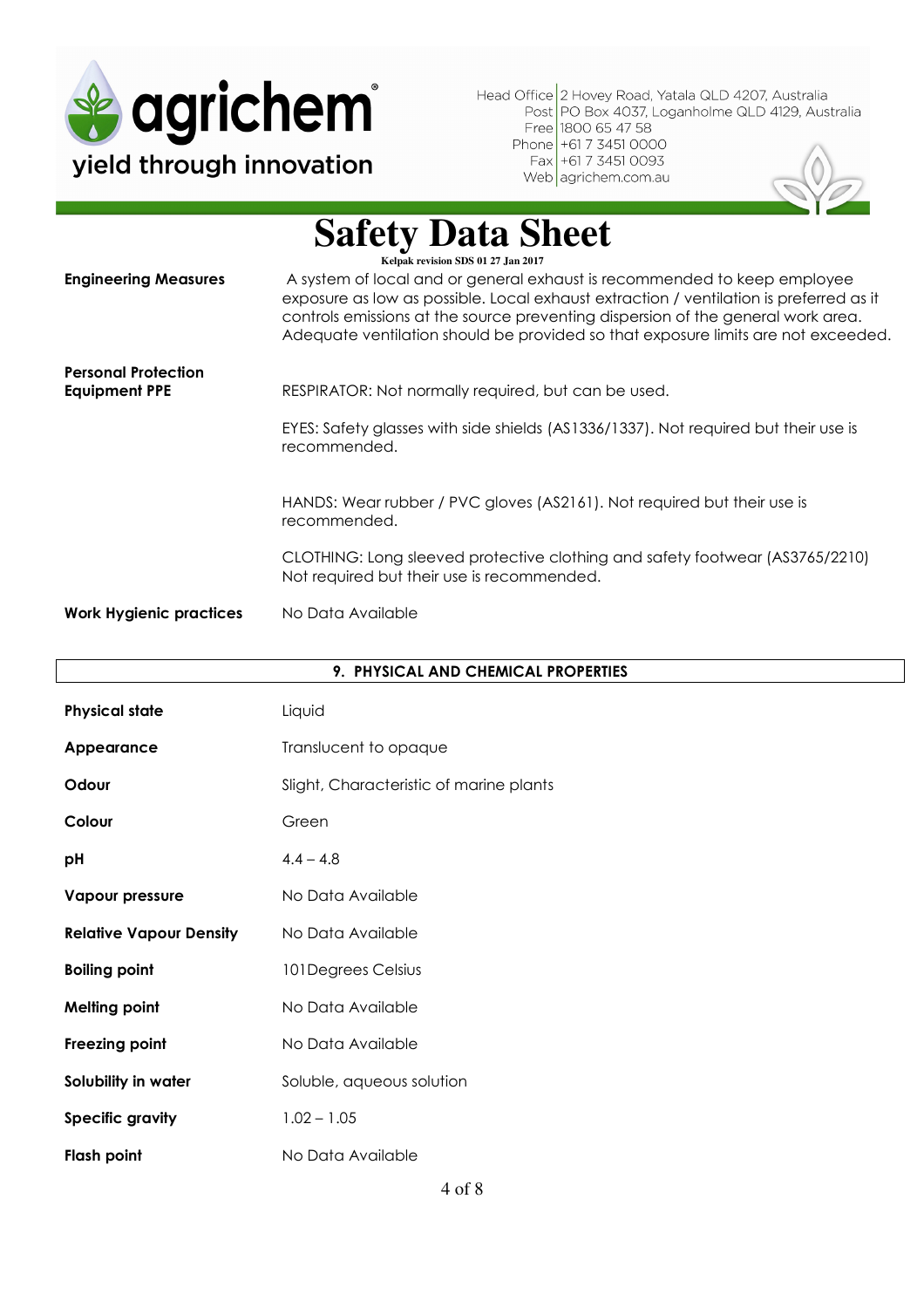

### **Safety Data Sheet**

| <b>Engineering Measures</b>                        | Kelpak revision SDS 01 27 Jan 2017<br>A system of local and or general exhaust is recommended to keep employee<br>exposure as low as possible. Local exhaust extraction / ventilation is preferred as it<br>controls emissions at the source preventing dispersion of the general work area.<br>Adequate ventilation should be provided so that exposure limits are not exceeded. |
|----------------------------------------------------|-----------------------------------------------------------------------------------------------------------------------------------------------------------------------------------------------------------------------------------------------------------------------------------------------------------------------------------------------------------------------------------|
| <b>Personal Protection</b><br><b>Equipment PPE</b> | RESPIRATOR: Not normally required, but can be used.<br>EYES: Safety glasses with side shields (AS1336/1337). Not required but their use is<br>recommended.                                                                                                                                                                                                                        |
|                                                    | HANDS: Wear rubber / PVC gloves (AS2161). Not required but their use is<br>recommended.                                                                                                                                                                                                                                                                                           |
|                                                    | CLOTHING: Long sleeved protective clothing and safety footwear (AS3765/2210)<br>Not required but their use is recommended.                                                                                                                                                                                                                                                        |
| <b>Work Hygienic practices</b>                     | No Data Available                                                                                                                                                                                                                                                                                                                                                                 |

| 9. PHYSICAL AND CHEMICAL PROPERTIES |                                         |  |
|-------------------------------------|-----------------------------------------|--|
| <b>Physical state</b>               | Liquid                                  |  |
| Appearance                          | Translucent to opaque                   |  |
| Odour                               | Slight, Characteristic of marine plants |  |
| Colour                              | Green                                   |  |
| pH                                  | $4.4 - 4.8$                             |  |
| <b>Vapour pressure</b>              | No Data Available                       |  |
| <b>Relative Vapour Density</b>      | No Data Available                       |  |
| <b>Boiling point</b>                | 101 Degrees Celsius                     |  |
| <b>Melting point</b>                | No Data Available                       |  |
| Freezing point                      | No Data Available                       |  |
| Solubility in water                 | Soluble, aqueous solution               |  |
| <b>Specific gravity</b>             | $1.02 - 1.05$                           |  |
| <b>Flash point</b>                  | No Data Available                       |  |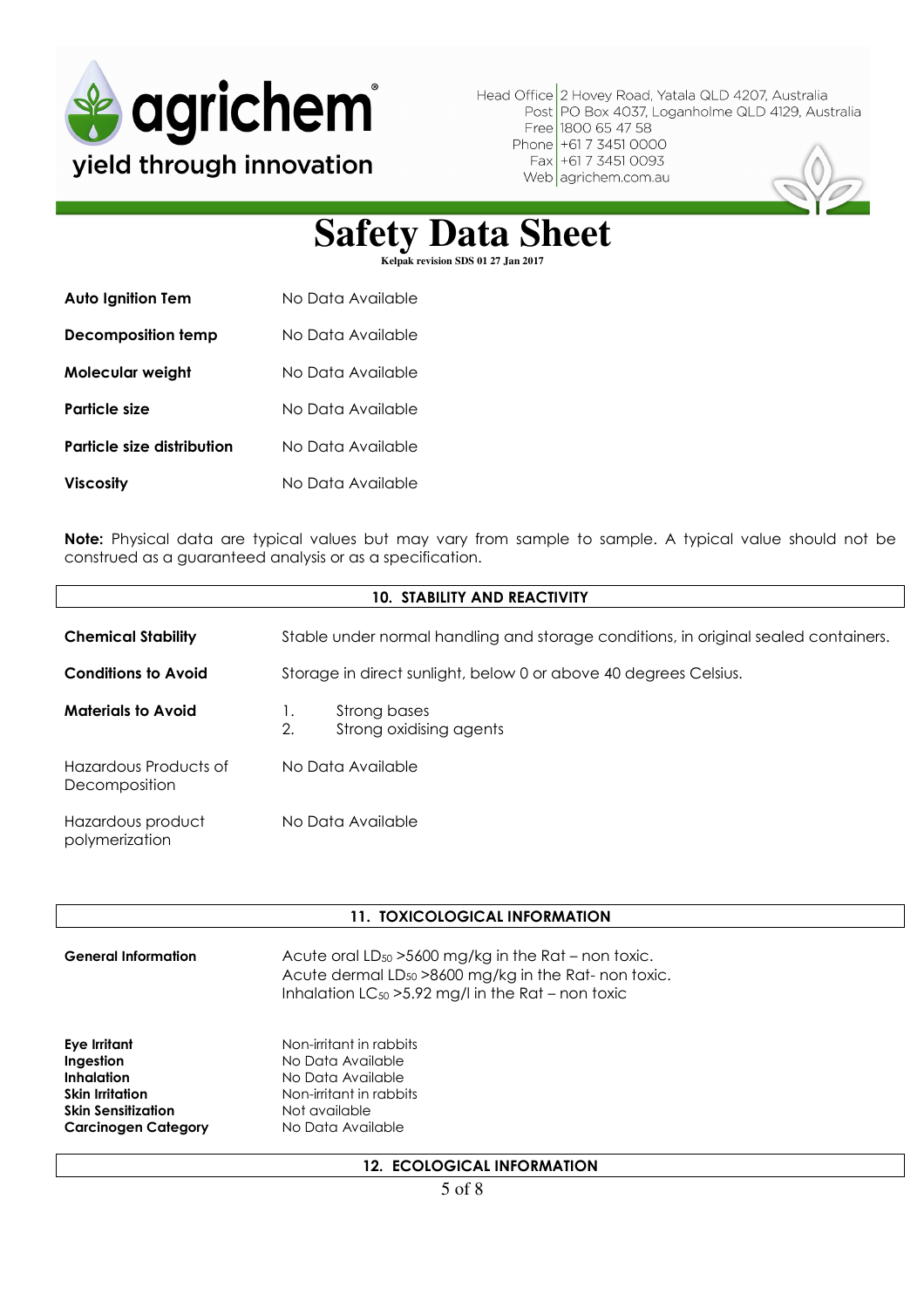

## Safety Data Sheet

| <b>Auto Ignition Tem</b>   | No Data Available |
|----------------------------|-------------------|
| Decomposition temp         | No Data Available |
| Molecular weight           | No Data Available |
| Particle size              | No Data Available |
| Particle size distribution | No Data Available |
| <b>Viscosity</b>           | No Data Available |

**Note:** Physical data are typical values but may vary from sample to sample. A typical value should not be construed as a guaranteed analysis or as a specification.

| <b>10. STABILITY AND REACTIVITY</b>    |                                                                                     |  |  |
|----------------------------------------|-------------------------------------------------------------------------------------|--|--|
| <b>Chemical Stability</b>              | Stable under normal handling and storage conditions, in original sealed containers. |  |  |
| <b>Conditions to Avoid</b>             | Storage in direct sunlight, below 0 or above 40 degrees Celsius.                    |  |  |
| <b>Materials to Avoid</b>              | Strong bases<br>Ι.<br>2.<br>Strong oxidising agents                                 |  |  |
| Hazardous Products of<br>Decomposition | No Data Available                                                                   |  |  |
| Hazardous product<br>polymerization    | No Data Available                                                                   |  |  |

#### **11. TOXICOLOGICAL INFORMATION**

| <b>General Information</b>                                                                                                   | Acute oral $LD_{50} > 5600$ mg/kg in the Rat – non toxic.<br>Acute dermal LD <sub>50</sub> > 8600 mg/kg in the Rat- non toxic.<br>Inhalation $LC_{50} > 5.92$ mg/l in the Rat – non toxic |
|------------------------------------------------------------------------------------------------------------------------------|-------------------------------------------------------------------------------------------------------------------------------------------------------------------------------------------|
| Eye Irritant<br>Ingestion<br>Inhalation<br><b>Skin Irritation</b><br><b>Skin Sensitization</b><br><b>Carcinogen Category</b> | Non-irritant in rabbits<br>No Data Available<br>No Data Available<br>Non-irritant in rabbits<br>Not available<br>No Data Available                                                        |
|                                                                                                                              |                                                                                                                                                                                           |

#### **12. ECOLOGICAL INFORMATION**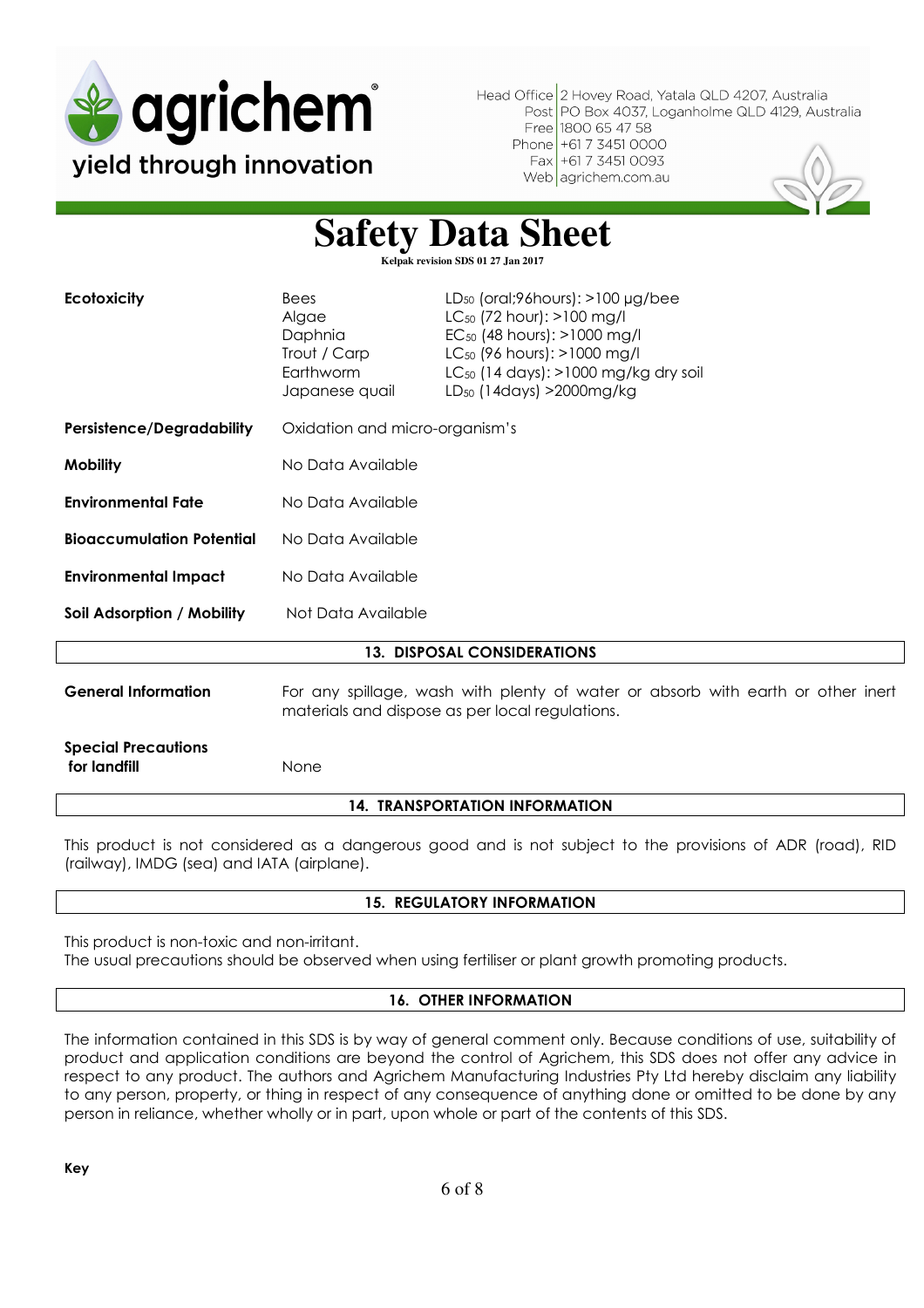

**Safety Data Sheet** 

| Kelpak revision SDS 01 27 Jan 2017         |                                                                                                                                    |                                                                                                                                                                                                                                                             |  |
|--------------------------------------------|------------------------------------------------------------------------------------------------------------------------------------|-------------------------------------------------------------------------------------------------------------------------------------------------------------------------------------------------------------------------------------------------------------|--|
| <b>Ecotoxicity</b>                         | <b>Bees</b><br>Algae<br>Daphnia<br>Trout / Carp<br>Earthworm<br>Japanese quail                                                     | $LD_{50}$ (oral;96 hours): $>100 \mu g$ /bee<br>$LC_{50}$ (72 hour): >100 mg/l<br>EC <sub>50</sub> (48 hours): >1000 mg/l<br>LC <sub>50</sub> (96 hours): >1000 mg/l<br>$LC_{50}$ (14 days): >1000 mg/kg dry soil<br>LD <sub>50</sub> (14days) > 2000 mg/kg |  |
| <b>Persistence/Degradability</b>           | Oxidation and micro-organism's                                                                                                     |                                                                                                                                                                                                                                                             |  |
| <b>Mobility</b>                            | No Data Available                                                                                                                  |                                                                                                                                                                                                                                                             |  |
| <b>Environmental Fate</b>                  | No Data Available                                                                                                                  |                                                                                                                                                                                                                                                             |  |
| <b>Bioaccumulation Potential</b>           | No Data Available                                                                                                                  |                                                                                                                                                                                                                                                             |  |
| <b>Environmental Impact</b>                | No Data Available                                                                                                                  |                                                                                                                                                                                                                                                             |  |
| Soil Adsorption / Mobility                 | Not Data Available                                                                                                                 |                                                                                                                                                                                                                                                             |  |
| <b>13. DISPOSAL CONSIDERATIONS</b>         |                                                                                                                                    |                                                                                                                                                                                                                                                             |  |
| <b>General Information</b>                 | For any spillage, wash with plenty of water or absorb with earth or other inert<br>materials and dispose as per local regulations. |                                                                                                                                                                                                                                                             |  |
| <b>Special Precautions</b><br>for landfill | None                                                                                                                               |                                                                                                                                                                                                                                                             |  |
| <b>14. TRANSPORTATION INFORMATION</b>      |                                                                                                                                    |                                                                                                                                                                                                                                                             |  |

This product is not considered as a dangerous good and is not subject to the provisions of ADR (road), RID (railway), IMDG (sea) and IATA (airplane).

#### **15. REGULATORY INFORMATION**

This product is non-toxic and non-irritant.

The usual precautions should be observed when using fertiliser or plant growth promoting products.

#### **16. OTHER INFORMATION**

The information contained in this SDS is by way of general comment only. Because conditions of use, suitability of product and application conditions are beyond the control of Agrichem, this SDS does not offer any advice in respect to any product. The authors and Agrichem Manufacturing Industries Pty Ltd hereby disclaim any liability to any person, property, or thing in respect of any consequence of anything done or omitted to be done by any person in reliance, whether wholly or in part, upon whole or part of the contents of this SDS.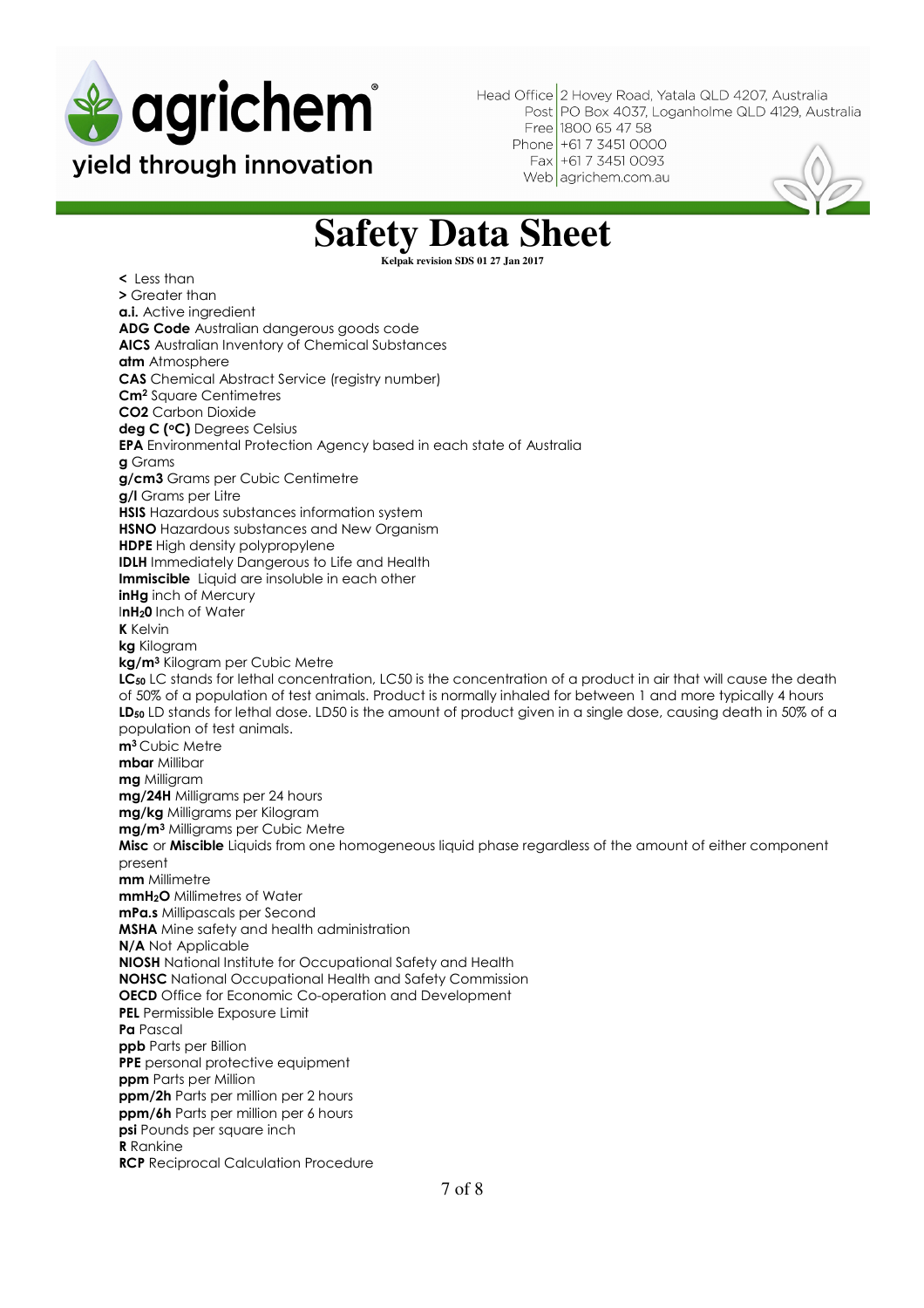

Web agrichem.com.au



### **Safety Data Sheet**

**Kelpak revision SDS 01 27 Jan 2017** 

**<** Less than **>** Greater than **a.i.** Active ingredient **ADG Code** Australian dangerous goods code **AICS** Australian Inventory of Chemical Substances **atm** Atmosphere **CAS** Chemical Abstract Service (registry number) **Cm<sup>2</sup>** Square Centimetres **CO2** Carbon Dioxide **deg C (<sup>o</sup>C)** Degrees Celsius **EPA** Environmental Protection Agency based in each state of Australia **g** Grams **g/cm3** Grams per Cubic Centimetre **g/l** Grams per Litre **HSIS** Hazardous substances information system **HSNO** Hazardous substances and New Organism **HDPE** High density polypropylene **IDLH** Immediately Dangerous to Life and Health **Immiscible** Liquid are insoluble in each other **inHg** inch of Mercury I**nH20** Inch of Water **K** Kelvin **kg** Kilogram **kg/m<sup>3</sup>** Kilogram per Cubic Metre **LC<sup>50</sup>** LC stands for lethal concentration, LC50 is the concentration of a product in air that will cause the death of 50% of a population of test animals. Product is normally inhaled for between 1 and more typically 4 hours LD<sub>50</sub> LD stands for lethal dose. LD50 is the amount of product given in a single dose, causing death in 50% of a population of test animals. **m<sup>3</sup>**Cubic Metre **mbar** Millibar **mg** Milligram **mg/24H** Milligrams per 24 hours **mg/kg** Milligrams per Kilogram **mg/m<sup>3</sup>** Milligrams per Cubic Metre **Misc** or **Miscible** Liquids from one homogeneous liquid phase regardless of the amount of either component present **mm** Millimetre **mmH2O** Millimetres of Water **mPa.s** Millipascals per Second **MSHA** Mine safety and health administration **N/A** Not Applicable **NIOSH** National Institute for Occupational Safety and Health **NOHSC** National Occupational Health and Safety Commission **OECD** Office for Economic Co-operation and Development **PEL** Permissible Exposure Limit **Pa** Pascal **ppb** Parts per Billion **PPE** personal protective equipment **ppm** Parts per Million **ppm/2h** Parts per million per 2 hours **ppm/6h** Parts per million per 6 hours **psi** Pounds per square inch  **R** Rankine **RCP** Reciprocal Calculation Procedure